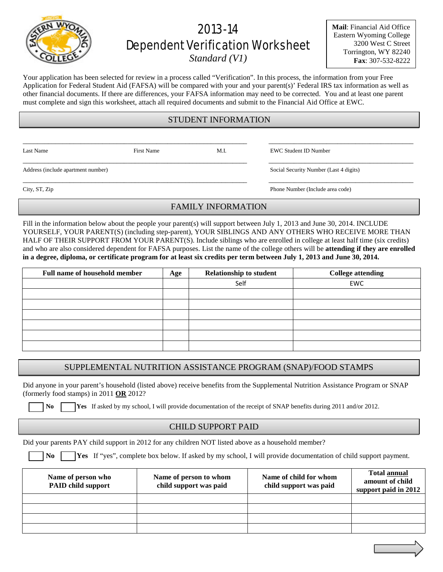# 2013-14 Dependent Verification Worksheet

*Standard (V1)*

**Mail**: Financial Aid Office Eastern Wyoming College 3200 West C Street Torrington, WY 82240 **Fax**: 307-532-8222

Your application has been selected for review in a process called "Verification". In this process, the information from your Free Application for Federal Student Aid (FAFSA) will be compared with your and your parent(s)' Federal IRS tax information as well as other financial documents. If there are differences, your FAFSA information may need to be corrected. You and at least one parent must complete and sign this worksheet, attach all required documents and submit to the Financial Aid Office at EWC.

# STUDENT INFORMATION

\_\_\_\_\_\_\_\_\_\_\_\_\_\_\_\_\_\_\_\_\_\_\_\_\_\_\_\_\_\_\_\_\_\_\_\_\_\_\_\_\_\_\_\_\_\_\_\_\_\_\_\_\_\_\_\_\_\_\_\_\_\_ \_\_\_\_\_\_\_\_\_\_\_\_\_\_\_\_\_\_\_\_\_\_\_\_\_\_\_\_\_\_\_\_\_\_\_\_\_\_\_\_

\_\_\_\_\_\_\_\_\_\_\_\_\_\_\_\_\_\_\_\_\_\_\_\_\_\_\_\_\_\_\_\_\_\_\_\_\_\_\_\_\_\_\_\_\_\_\_\_\_\_\_\_\_\_\_\_\_\_\_\_\_\_ \_\_\_\_\_\_\_\_\_\_\_\_\_\_\_\_\_\_\_\_\_\_\_\_\_\_\_\_\_\_\_\_\_\_\_\_\_\_\_\_

\_\_\_\_\_\_\_\_\_\_\_\_\_\_\_\_\_\_\_\_\_\_\_\_\_\_\_\_\_\_\_\_\_\_\_\_\_\_\_\_\_\_\_\_\_\_\_\_\_\_\_\_\_\_\_\_\_\_\_\_\_\_ \_\_\_\_\_\_\_\_\_\_\_\_\_\_\_\_\_\_\_\_\_\_\_\_\_\_\_\_\_\_\_\_\_\_\_\_\_\_\_\_

Last Name First Name First Name M.I. EWC Student ID Number

Address (include apartment number) Social Security Number (Last 4 digits)

City, ST, Zip Phone Number (Include area code)

## FAMILY INFORMATION

Fill in the information below about the people your parent(s) will support between July 1, 2013 and June 30, 2014. INCLUDE YOURSELF, YOUR PARENT(S) (including step-parent), YOUR SIBLINGS AND ANY OTHERS WHO RECEIVE MORE THAN HALF OF THEIR SUPPORT FROM YOUR PARENT(S). Include siblings who are enrolled in college at least half time (six credits) and who are also considered dependent for FAFSA purposes. List the name of the college others will be **attending if they are enrolled in a degree, diploma, or certificate program for at least six credits per term between July 1, 2013 and June 30, 2014.**

| <b>Full name of household member</b> | Age | <b>Relationship to student</b> | <b>College attending</b> |
|--------------------------------------|-----|--------------------------------|--------------------------|
|                                      |     | Self                           | EWC                      |
|                                      |     |                                |                          |
|                                      |     |                                |                          |
|                                      |     |                                |                          |
|                                      |     |                                |                          |
|                                      |     |                                |                          |
|                                      |     |                                |                          |

# SUPPLEMENTAL NUTRITION ASSISTANCE PROGRAM (SNAP)/FOOD STAMPS

Did anyone in your parent's household (listed above) receive benefits from the Supplemental Nutrition Assistance Program or SNAP (formerly food stamps) in 2011 **OR** 2012?

**No I** Yes If asked by my school, I will provide documentation of the receipt of SNAP benefits during 2011 and/or 2012.

## CHILD SUPPORT PAID

Did your parents PAY child support in 2012 for any children NOT listed above as a household member?

 **No Yes** If "yes", complete box below. If asked by my school, I will provide documentation of child support payment.

| Name of person who<br><b>PAID child support</b> | Name of person to whom<br>child support was paid | Name of child for whom<br>child support was paid | <b>Total annual</b><br>amount of child<br>support paid in 2012 |
|-------------------------------------------------|--------------------------------------------------|--------------------------------------------------|----------------------------------------------------------------|
|                                                 |                                                  |                                                  |                                                                |
|                                                 |                                                  |                                                  |                                                                |
|                                                 |                                                  |                                                  |                                                                |
|                                                 |                                                  |                                                  |                                                                |